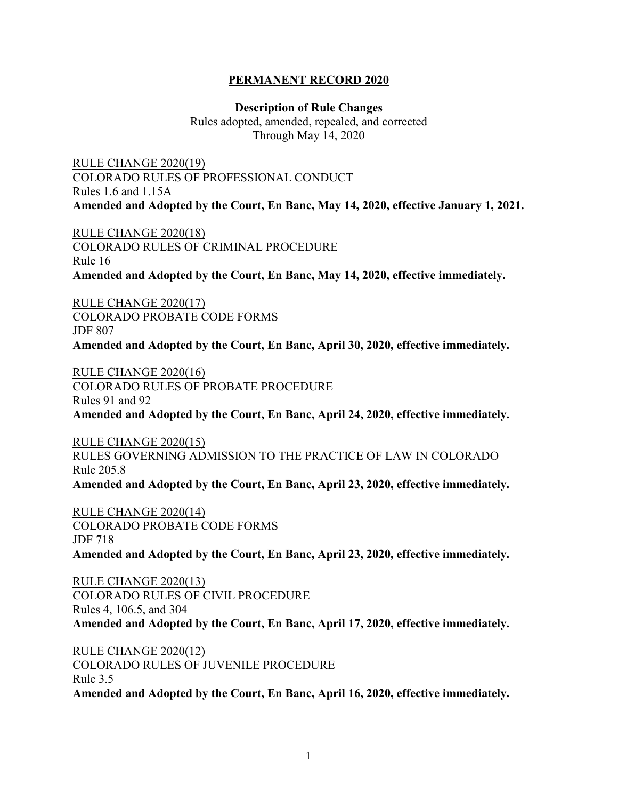## **PERMANENT RECORD 2020**

**Description of Rule Changes** Rules adopted, amended, repealed, and corrected Through May 14, 2020

RULE CHANGE 2020(19) COLORADO RULES OF PROFESSIONAL CONDUCT Rules 1.6 and 1.15A **Amended and Adopted by the Court, En Banc, May 14, 2020, effective January 1, 2021.** 

RULE CHANGE 2020(18) COLORADO RULES OF CRIMINAL PROCEDURE Rule 16 **Amended and Adopted by the Court, En Banc, May 14, 2020, effective immediately.** 

RULE CHANGE 2020(17) COLORADO PROBATE CODE FORMS JDF 807 **Amended and Adopted by the Court, En Banc, April 30, 2020, effective immediately.** 

RULE CHANGE 2020(16) COLORADO RULES OF PROBATE PROCEDURE Rules 91 and 92 **Amended and Adopted by the Court, En Banc, April 24, 2020, effective immediately.** 

RULE CHANGE 2020(15) RULES GOVERNING ADMISSION TO THE PRACTICE OF LAW IN COLORADO Rule 205.8 **Amended and Adopted by the Court, En Banc, April 23, 2020, effective immediately.** 

RULE CHANGE 2020(14) COLORADO PROBATE CODE FORMS JDF 718 **Amended and Adopted by the Court, En Banc, April 23, 2020, effective immediately.** 

RULE CHANGE 2020(13) COLORADO RULES OF CIVIL PROCEDURE Rules 4, 106.5, and 304 **Amended and Adopted by the Court, En Banc, April 17, 2020, effective immediately.**

RULE CHANGE 2020(12) COLORADO RULES OF JUVENILE PROCEDURE Rule 3.5 **Amended and Adopted by the Court, En Banc, April 16, 2020, effective immediately.**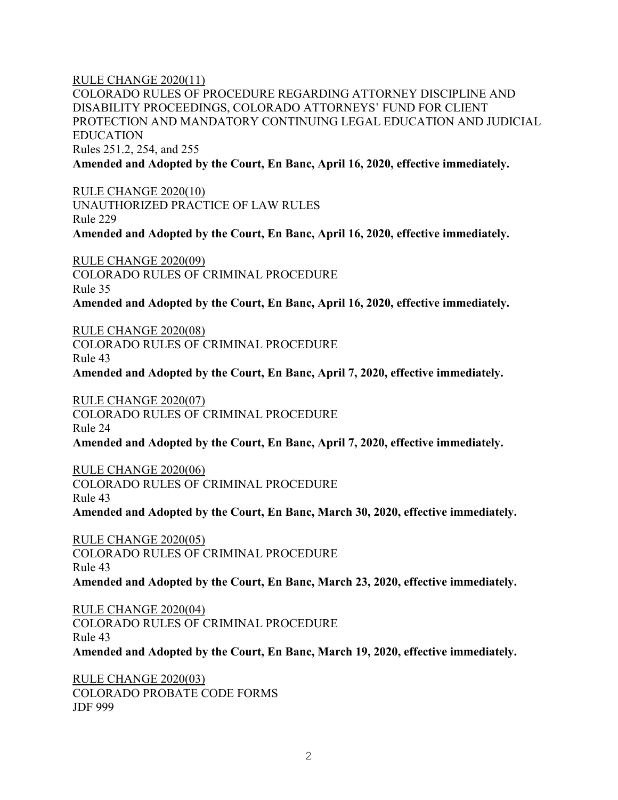RULE CHANGE 2020(11)

COLORADO RULES OF PROCEDURE REGARDING ATTORNEY DISCIPLINE AND DISABILITY PROCEEDINGS, COLORADO ATTORNEYS' FUND FOR CLIENT PROTECTION AND MANDATORY CONTINUING LEGAL EDUCATION AND JUDICIAL EDUCATION Rules 251.2, 254, and 255 **Amended and Adopted by the Court, En Banc, April 16, 2020, effective immediately.** 

RULE CHANGE 2020(10) UNAUTHORIZED PRACTICE OF LAW RULES Rule 229 **Amended and Adopted by the Court, En Banc, April 16, 2020, effective immediately.** 

RULE CHANGE 2020(09) COLORADO RULES OF CRIMINAL PROCEDURE Rule 35 **Amended and Adopted by the Court, En Banc, April 16, 2020, effective immediately.** 

RULE CHANGE 2020(08)

COLORADO RULES OF CRIMINAL PROCEDURE Rule 43 **Amended and Adopted by the Court, En Banc, April 7, 2020, effective immediately.** 

RULE CHANGE 2020(07) COLORADO RULES OF CRIMINAL PROCEDURE Rule 24 **Amended and Adopted by the Court, En Banc, April 7, 2020, effective immediately.** 

RULE CHANGE 2020(06)

COLORADO RULES OF CRIMINAL PROCEDURE Rule 43

**Amended and Adopted by the Court, En Banc, March 30, 2020, effective immediately.** 

RULE CHANGE 2020(05) COLORADO RULES OF CRIMINAL PROCEDURE Rule 43 **Amended and Adopted by the Court, En Banc, March 23, 2020, effective immediately.** 

RULE CHANGE 2020(04) COLORADO RULES OF CRIMINAL PROCEDURE Rule 43 **Amended and Adopted by the Court, En Banc, March 19, 2020, effective immediately.** 

RULE CHANGE 2020(03) COLORADO PROBATE CODE FORMS JDF 999